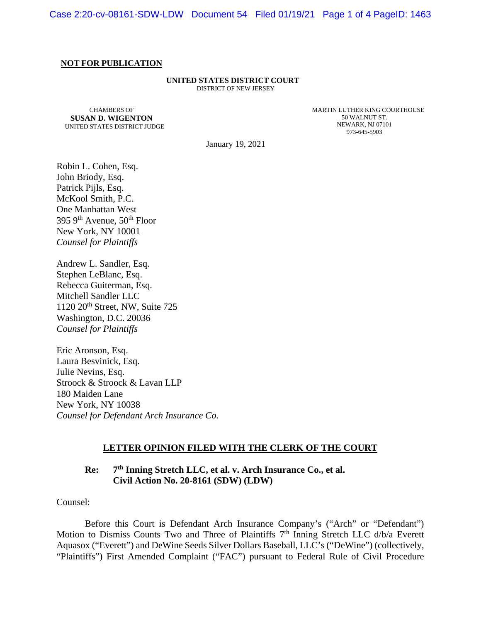#### **NOT FOR PUBLICATION**

#### **UNITED STATES DISTRICT COURT** DISTRICT OF NEW JERSEY

CHAMBERS OF **SUSAN D. WIGENTON** UNITED STATES DISTRICT JUDGE MARTIN LUTHER KING COURTHOUSE 50 WALNUT ST. NEWARK, NJ 07101 973-645-5903

January 19, 2021

Robin L. Cohen, Esq. John Briody, Esq. Patrick Pijls, Esq. McKool Smith, P.C. One Manhattan West 395 9<sup>th</sup> Avenue, 50<sup>th</sup> Floor New York, NY 10001 *Counsel for Plaintiffs*

Andrew L. Sandler, Esq. Stephen LeBlanc, Esq. Rebecca Guiterman, Esq. Mitchell Sandler LLC 1120 20<sup>th</sup> Street, NW, Suite 725 Washington, D.C. 20036 *Counsel for Plaintiffs* 

Eric Aronson, Esq. Laura Besvinick, Esq. Julie Nevins, Esq. Stroock & Stroock & Lavan LLP 180 Maiden Lane New York, NY 10038 *Counsel for Defendant Arch Insurance Co.* 

#### **LETTER OPINION FILED WITH THE CLERK OF THE COURT**

# **Re: 7th Inning Stretch LLC, et al. v. Arch Insurance Co., et al. Civil Action No. 20-8161 (SDW) (LDW)**

Counsel:

Before this Court is Defendant Arch Insurance Company's ("Arch" or "Defendant") Motion to Dismiss Counts Two and Three of Plaintiffs  $7<sup>th</sup>$  Inning Stretch LLC  $d/b/a$  Everett Aquasox ("Everett") and DeWine Seeds Silver Dollars Baseball, LLC's ("DeWine") (collectively, "Plaintiffs") First Amended Complaint ("FAC") pursuant to Federal Rule of Civil Procedure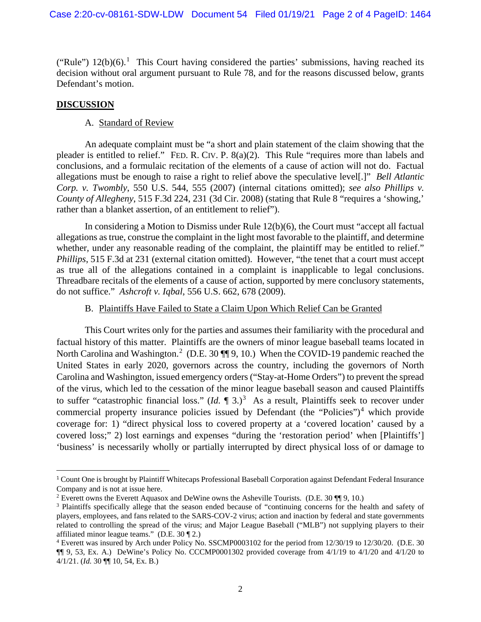("Rule")  $12(b)(6)$  $12(b)(6)$ .<sup>1</sup> This Court having considered the parties' submissions, having reached its decision without oral argument pursuant to Rule 78, and for the reasons discussed below, grants Defendant's motion.

## **DISCUSSION**

## A. Standard of Review

An adequate complaint must be "a short and plain statement of the claim showing that the pleader is entitled to relief." FED. R. CIV. P. 8(a)(2). This Rule "requires more than labels and conclusions, and a formulaic recitation of the elements of a cause of action will not do. Factual allegations must be enough to raise a right to relief above the speculative level[.]" *Bell Atlantic Corp. v. Twombly*, 550 U.S. 544, 555 (2007) (internal citations omitted); *see also Phillips v. County of Allegheny*, 515 F.3d 224, 231 (3d Cir. 2008) (stating that Rule 8 "requires a 'showing,' rather than a blanket assertion, of an entitlement to relief").

In considering a Motion to Dismiss under Rule 12(b)(6), the Court must "accept all factual allegations as true, construe the complaint in the light most favorable to the plaintiff, and determine whether, under any reasonable reading of the complaint, the plaintiff may be entitled to relief." *Phillips*, 515 F.3d at 231 (external citation omitted). However, "the tenet that a court must accept as true all of the allegations contained in a complaint is inapplicable to legal conclusions. Threadbare recitals of the elements of a cause of action, supported by mere conclusory statements, do not suffice." *Ashcroft v. Iqbal*, 556 U.S. 662, 678 (2009).

## B. Plaintiffs Have Failed to State a Claim Upon Which Relief Can be Granted

This Court writes only for the parties and assumes their familiarity with the procedural and factual history of this matter. Plaintiffs are the owners of minor league baseball teams located in North Carolina and Washington.<sup>[2](#page-1-1)</sup> (D.E. 30  $\P$ ] 9, 10.) When the COVID-19 pandemic reached the United States in early 2020, governors across the country, including the governors of North Carolina and Washington, issued emergency orders ("Stay-at-Home Orders") to prevent the spread of the virus, which led to the cessation of the minor league baseball season and caused Plaintiffs to suffer "catastrophic financial loss."  $(Id. \P 3.)^3$  $(Id. \P 3.)^3$  $(Id. \P 3.)^3$  As a result, Plaintiffs seek to recover under commercial property insurance policies issued by Defendant (the "Policies")<sup>[4](#page-1-3)</sup> which provide coverage for: 1) "direct physical loss to covered property at a 'covered location' caused by a covered loss;" 2) lost earnings and expenses "during the 'restoration period' when [Plaintiffs'] 'business' is necessarily wholly or partially interrupted by direct physical loss of or damage to

<span id="page-1-0"></span><sup>&</sup>lt;sup>1</sup> Count One is brought by Plaintiff Whitecaps Professional Baseball Corporation against Defendant Federal Insurance Company and is not at issue here.<br><sup>2</sup> Everett owns the Everett Aquasox and DeWine owns the Asheville Tourists. (D.E. 30  $\P$  19, 10.)

<span id="page-1-1"></span>

<span id="page-1-2"></span><sup>&</sup>lt;sup>3</sup> Plaintiffs specifically allege that the season ended because of "continuing concerns for the health and safety of players, employees, and fans related to the SARS-COV-2 virus; action and inaction by federal and state governments related to controlling the spread of the virus; and Major League Baseball ("MLB") not supplying players to their affiliated minor league teams." (D.E.  $30 \text{ T}$ 2.)

<span id="page-1-3"></span><sup>4</sup> Everett was insured by Arch under Policy No. SSCMP0003102 for the period from 12/30/19 to 12/30/20. (D.E. 30 ¶¶ 9, 53, Ex. A.) DeWine's Policy No. CCCMP0001302 provided coverage from 4/1/19 to 4/1/20 and 4/1/20 to 4/1/21. (*Id.* 30 ¶¶ 10, 54, Ex. B.)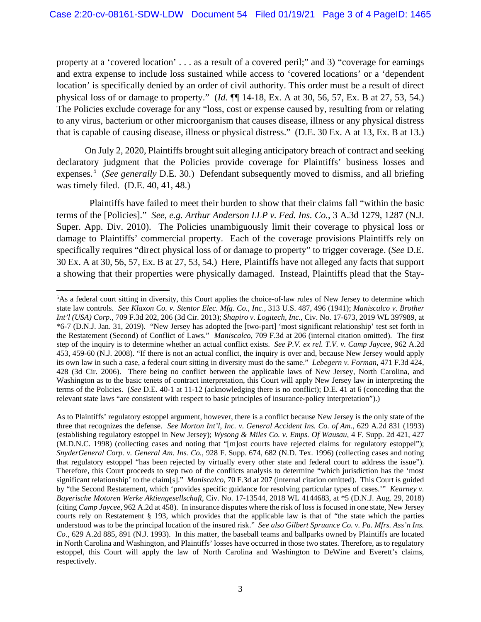property at a 'covered location' . . . as a result of a covered peril;" and 3) "coverage for earnings and extra expense to include loss sustained while access to 'covered locations' or a 'dependent location' is specifically denied by an order of civil authority. This order must be a result of direct physical loss of or damage to property." (*Id.* ¶¶ 14-18, Ex. A at 30, 56, 57, Ex. B at 27, 53, 54.) The Policies exclude coverage for any "loss, cost or expense caused by, resulting from or relating to any virus, bacterium or other microorganism that causes disease, illness or any physical distress that is capable of causing disease, illness or physical distress." (D.E. 30 Ex. A at 13, Ex. B at 13.)

On July 2, 2020, Plaintiffs brought suit alleging anticipatory breach of contract and seeking declaratory judgment that the Policies provide coverage for Plaintiffs' business losses and expenses. [5](#page-2-0) (*See generally* D.E. 30.) Defendant subsequently moved to dismiss, and all briefing was timely filed. (D.E. 40, 41, 48.)

 Plaintiffs have failed to meet their burden to show that their claims fall "within the basic terms of the [Policies]." *See, e.g. Arthur Anderson LLP v. Fed. Ins. Co.*, 3 A.3d 1279, 1287 (N.J. Super. App. Div. 2010). The Policies unambiguously limit their coverage to physical loss or damage to Plaintiffs' commercial property. Each of the coverage provisions Plaintiffs rely on specifically requires "direct physical loss of or damage to property" to trigger coverage. (*See* D.E. 30 Ex. A at 30, 56, 57, Ex. B at 27, 53, 54.) Here, Plaintiffs have not alleged any facts that support a showing that their properties were physically damaged. Instead, Plaintiffs plead that the Stay-

<span id="page-2-0"></span><sup>&</sup>lt;sup>5</sup>As a federal court sitting in diversity, this Court applies the choice-of-law rules of New Jersey to determine which state law controls. *See Klaxon Co. v. Stentor Elec. Mfg. Co., Inc.*, 313 U.S. 487, 496 (1941); *Maniscalco v. Brother Int'l (USA) Corp.*, 709 F.3d 202, 206 (3d Cir. 2013); *Shapiro v. Logitech, Inc.*, Civ. No. 17-673, 2019 WL 397989, at \*6-7 (D.N.J. Jan. 31, 2019). "New Jersey has adopted the [two-part] 'most significant relationship' test set forth in the Restatement (Second) of Conflict of Laws." *Maniscalco*, 709 F.3d at 206 (internal citation omitted). The first step of the inquiry is to determine whether an actual conflict exists. *See P.V. ex rel. T.V. v. Camp Jaycee*, 962 A.2d 453, 459-60 (N.J. 2008). "If there is not an actual conflict, the inquiry is over and, because New Jersey would apply its own law in such a case, a federal court sitting in diversity must do the same." *Lebegern v. Forman*, 471 F.3d 424, 428 (3d Cir. 2006). There being no conflict between the applicable laws of New Jersey, North Carolina, and Washington as to the basic tenets of contract interpretation, this Court will apply New Jersey law in interpreting the terms of the Policies. (*See* D.E. 40-1 at 11-12 (acknowledging there is no conflict); D.E. 41 at 6 (conceding that the relevant state laws "are consistent with respect to basic principles of insurance-policy interpretation").)

As to Plaintiffs' regulatory estoppel argument, however, there is a conflict because New Jersey is the only state of the three that recognizes the defense. *See Morton Int'l, Inc. v. General Accident Ins. Co. of Am.*, 629 A.2d 831 (1993) (establishing regulatory estoppel in New Jersey); *Wysong & Miles Co. v. Emps. Of Wausau*, 4 F. Supp. 2d 421, 427 (M.D.N.C. 1998) (collecting cases and noting that "[m]ost courts have rejected claims for regulatory estoppel"); *SnyderGeneral Corp. v. General Am. Ins. Co.*, 928 F. Supp. 674, 682 (N.D. Tex. 1996) (collecting cases and noting that regulatory estoppel "has been rejected by virtually every other state and federal court to address the issue"). Therefore, this Court proceeds to step two of the conflicts analysis to determine "which jurisdiction has the 'most significant relationship' to the claim[s]." *Maniscalco*, 70 F.3d at 207 (internal citation omitted). This Court is guided by "the Second Restatement, which 'provides specific guidance for resolving particular types of cases.'" *Kearney v. Bayerische Motoren Werke Aktiengesellschaft*, Civ. No. 17-13544, 2018 WL 4144683, at \*5 (D.N.J. Aug. 29, 2018) (citing *Camp Jaycee*, 962 A.2d at 458). In insurance disputes where the risk of loss is focused in one state, New Jersey courts rely on Restatement § 193, which provides that the applicable law is that of "the state which the parties understood was to be the principal location of the insured risk." *See also Gilbert Spruance Co. v. Pa. Mfrs. Ass'n Ins. Co.*, 629 A.2d 885, 891 (N.J. 1993). In this matter, the baseball teams and ballparks owned by Plaintiffs are located in North Carolina and Washington, and Plaintiffs' losses have occurred in those two states. Therefore, as to regulatory estoppel, this Court will apply the law of North Carolina and Washington to DeWine and Everett's claims, respectively.